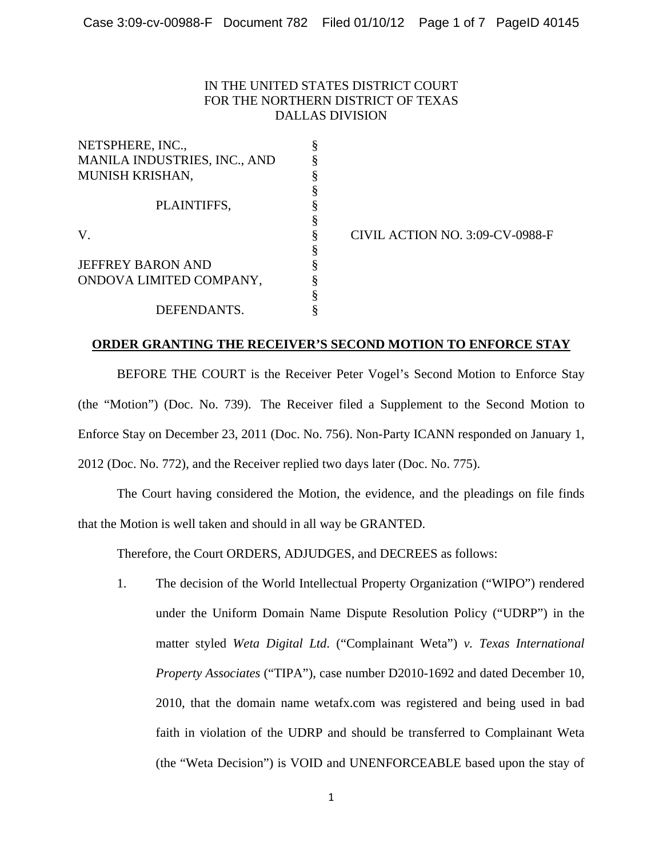## IN THE UNITED STATES DISTRICT COURT FOR THE NORTHERN DISTRICT OF TEXAS DALLAS DIVISION

| NETSPHERE, INC.,             |   |
|------------------------------|---|
| MANILA INDUSTRIES, INC., AND |   |
| <b>MUNISH KRISHAN,</b>       | ş |
|                              |   |
| PLAINTIFFS,                  |   |
|                              |   |
| V                            |   |
|                              | ş |
| <b>JEFFREY BARON AND</b>     | ş |
| ONDOVA LIMITED COMPANY,      |   |
|                              | ş |
| DEFENDANTS.                  |   |

CIVIL ACTION NO. 3:09-CV-0988-F

## **ORDER GRANTING THE RECEIVER'S SECOND MOTION TO ENFORCE STAY**

BEFORE THE COURT is the Receiver Peter Vogel's Second Motion to Enforce Stay (the "Motion") (Doc. No. 739). The Receiver filed a Supplement to the Second Motion to Enforce Stay on December 23, 2011 (Doc. No. 756). Non-Party ICANN responded on January 1, 2012 (Doc. No. 772), and the Receiver replied two days later (Doc. No. 775).

The Court having considered the Motion, the evidence, and the pleadings on file finds that the Motion is well taken and should in all way be GRANTED.

Therefore, the Court ORDERS, ADJUDGES, and DECREES as follows:

1. The decision of the World Intellectual Property Organization ("WIPO") rendered under the Uniform Domain Name Dispute Resolution Policy ("UDRP") in the matter styled *Weta Digital Ltd*. ("Complainant Weta") *v. Texas International Property Associates* ("TIPA"), case number D2010-1692 and dated December 10, 2010, that the domain name wetafx.com was registered and being used in bad faith in violation of the UDRP and should be transferred to Complainant Weta (the "Weta Decision") is VOID and UNENFORCEABLE based upon the stay of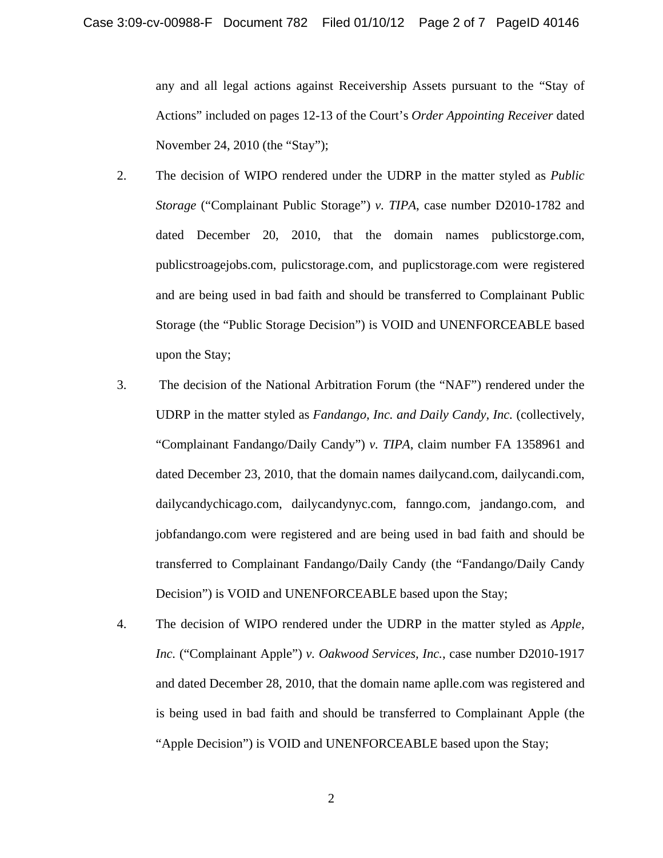any and all legal actions against Receivership Assets pursuant to the "Stay of Actions" included on pages 12-13 of the Court's *Order Appointing Receiver* dated November 24, 2010 (the "Stay");

- 2. The decision of WIPO rendered under the UDRP in the matter styled as *Public Storage* ("Complainant Public Storage") *v. TIPA*, case number D2010-1782 and dated December 20, 2010, that the domain names publicstorge.com, publicstroagejobs.com, pulicstorage.com, and puplicstorage.com were registered and are being used in bad faith and should be transferred to Complainant Public Storage (the "Public Storage Decision") is VOID and UNENFORCEABLE based upon the Stay;
- 3. The decision of the National Arbitration Forum (the "NAF") rendered under the UDRP in the matter styled as *Fandango, Inc. and Daily Candy, Inc.* (collectively, "Complainant Fandango/Daily Candy") *v. TIPA*, claim number FA 1358961 and dated December 23, 2010, that the domain names dailycand.com, dailycandi.com, dailycandychicago.com, dailycandynyc.com, fanngo.com, jandango.com, and jobfandango.com were registered and are being used in bad faith and should be transferred to Complainant Fandango/Daily Candy (the "Fandango/Daily Candy Decision") is VOID and UNENFORCEABLE based upon the Stay;
- 4. The decision of WIPO rendered under the UDRP in the matter styled as *Apple, Inc.* ("Complainant Apple") *v. Oakwood Services, Inc.*, case number D2010-1917 and dated December 28, 2010, that the domain name aplle.com was registered and is being used in bad faith and should be transferred to Complainant Apple (the "Apple Decision") is VOID and UNENFORCEABLE based upon the Stay;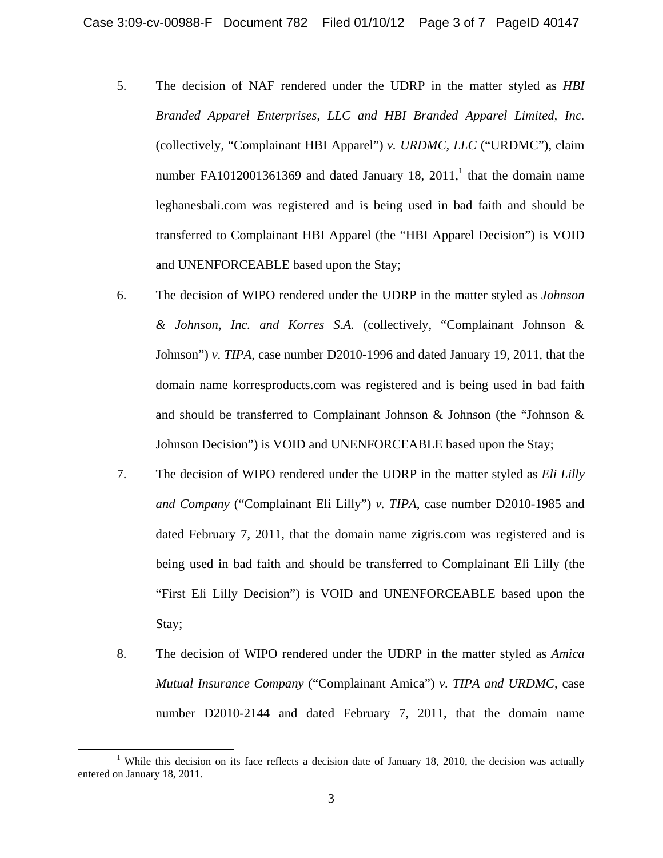- 5. The decision of NAF rendered under the UDRP in the matter styled as *HBI Branded Apparel Enterprises, LLC and HBI Branded Apparel Limited, Inc.*  (collectively, "Complainant HBI Apparel") *v. URDMC, LLC* ("URDMC"), claim number FA1012001361369 and dated January 18,  $2011<sup>1</sup>$ , that the domain name leghanesbali.com was registered and is being used in bad faith and should be transferred to Complainant HBI Apparel (the "HBI Apparel Decision") is VOID and UNENFORCEABLE based upon the Stay;
- 6. The decision of WIPO rendered under the UDRP in the matter styled as *Johnson & Johnson, Inc. and Korres S.A.* (collectively, "Complainant Johnson & Johnson") *v. TIPA*, case number D2010-1996 and dated January 19, 2011, that the domain name korresproducts.com was registered and is being used in bad faith and should be transferred to Complainant Johnson  $\&$  Johnson (the "Johnson  $\&$ Johnson Decision") is VOID and UNENFORCEABLE based upon the Stay;
- 7. The decision of WIPO rendered under the UDRP in the matter styled as *Eli Lilly and Company* ("Complainant Eli Lilly") *v. TIPA*, case number D2010-1985 and dated February 7, 2011, that the domain name zigris.com was registered and is being used in bad faith and should be transferred to Complainant Eli Lilly (the "First Eli Lilly Decision") is VOID and UNENFORCEABLE based upon the Stay;
- 8. The decision of WIPO rendered under the UDRP in the matter styled as *Amica Mutual Insurance Company* ("Complainant Amica") *v. TIPA and URDMC*, case number D2010-2144 and dated February 7, 2011, that the domain name

<sup>&</sup>lt;sup>1</sup> While this decision on its face reflects a decision date of January 18, 2010, the decision was actually entered on January 18, 2011.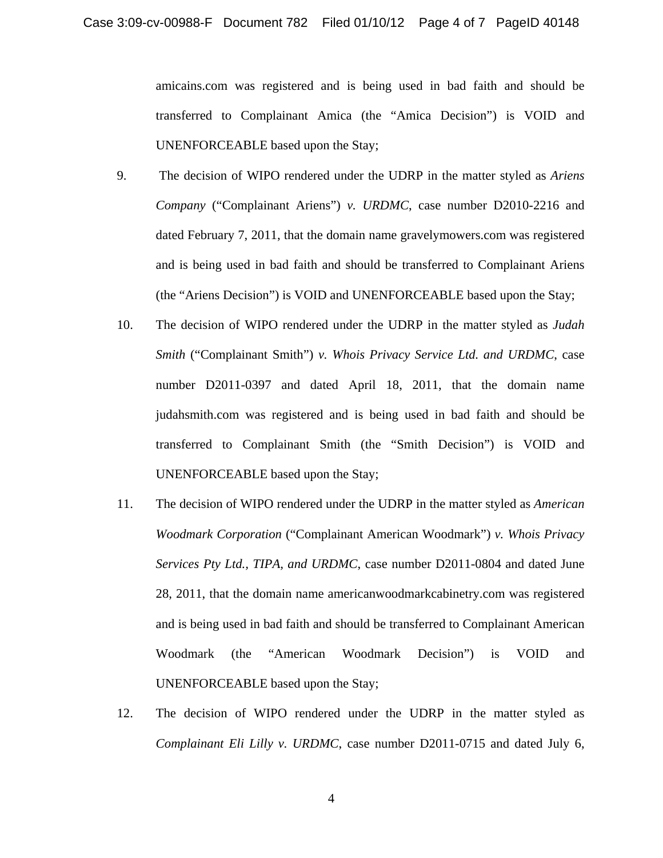amicains.com was registered and is being used in bad faith and should be transferred to Complainant Amica (the "Amica Decision") is VOID and UNENFORCEABLE based upon the Stay;

- 9. The decision of WIPO rendered under the UDRP in the matter styled as *Ariens Company* ("Complainant Ariens") *v. URDMC*, case number D2010-2216 and dated February 7, 2011, that the domain name gravelymowers.com was registered and is being used in bad faith and should be transferred to Complainant Ariens (the "Ariens Decision") is VOID and UNENFORCEABLE based upon the Stay;
- 10. The decision of WIPO rendered under the UDRP in the matter styled as *Judah Smith* ("Complainant Smith") *v. Whois Privacy Service Ltd. and URDMC*, case number D2011-0397 and dated April 18, 2011, that the domain name judahsmith.com was registered and is being used in bad faith and should be transferred to Complainant Smith (the "Smith Decision") is VOID and UNENFORCEABLE based upon the Stay;
- 11. The decision of WIPO rendered under the UDRP in the matter styled as *American Woodmark Corporation* ("Complainant American Woodmark") *v. Whois Privacy Services Pty Ltd., TIPA, and URDMC*, case number D2011-0804 and dated June 28, 2011, that the domain name americanwoodmarkcabinetry.com was registered and is being used in bad faith and should be transferred to Complainant American Woodmark (the "American Woodmark Decision") is VOID and UNENFORCEABLE based upon the Stay;
- 12. The decision of WIPO rendered under the UDRP in the matter styled as *Complainant Eli Lilly v. URDMC*, case number D2011-0715 and dated July 6,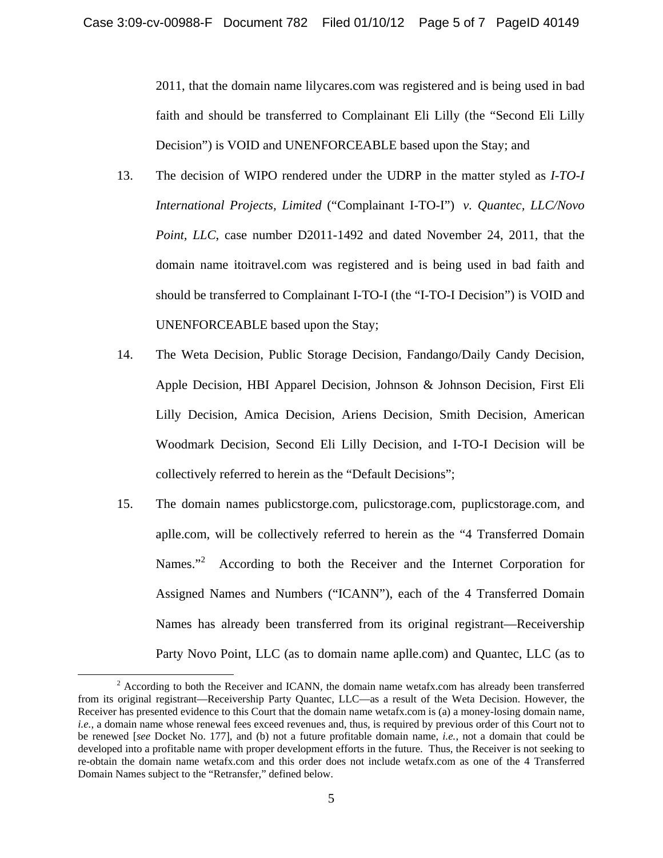2011, that the domain name lilycares.com was registered and is being used in bad faith and should be transferred to Complainant Eli Lilly (the "Second Eli Lilly Decision") is VOID and UNENFORCEABLE based upon the Stay; and

- 13. The decision of WIPO rendered under the UDRP in the matter styled as *I-TO-I International Projects, Limited* ("Complainant I-TO-I") *v. Quantec, LLC/Novo Point, LLC*, case number D2011-1492 and dated November 24, 2011, that the domain name itoitravel.com was registered and is being used in bad faith and should be transferred to Complainant I-TO-I (the "I-TO-I Decision") is VOID and UNENFORCEABLE based upon the Stay;
- 14. The Weta Decision, Public Storage Decision, Fandango/Daily Candy Decision, Apple Decision, HBI Apparel Decision, Johnson & Johnson Decision, First Eli Lilly Decision, Amica Decision, Ariens Decision, Smith Decision, American Woodmark Decision, Second Eli Lilly Decision, and I-TO-I Decision will be collectively referred to herein as the "Default Decisions";
- 15. The domain names publicstorge.com, pulicstorage.com, puplicstorage.com, and aplle.com, will be collectively referred to herein as the "4 Transferred Domain Names."<sup>2</sup> According to both the Receiver and the Internet Corporation for Assigned Names and Numbers ("ICANN"), each of the 4 Transferred Domain Names has already been transferred from its original registrant—Receivership Party Novo Point, LLC (as to domain name aplle.com) and Quantec, LLC (as to

<sup>&</sup>lt;sup>2</sup> According to both the Receiver and ICANN, the domain name wetafx.com has already been transferred from its original registrant—Receivership Party Quantec, LLC—as a result of the Weta Decision. However, the Receiver has presented evidence to this Court that the domain name wetafx.com is (a) a money-losing domain name, *i.e.*, a domain name whose renewal fees exceed revenues and, thus, is required by previous order of this Court not to be renewed [*see* Docket No. 177], and (b) not a future profitable domain name, *i.e.*, not a domain that could be developed into a profitable name with proper development efforts in the future. Thus, the Receiver is not seeking to re-obtain the domain name wetafx.com and this order does not include wetafx.com as one of the 4 Transferred Domain Names subject to the "Retransfer," defined below.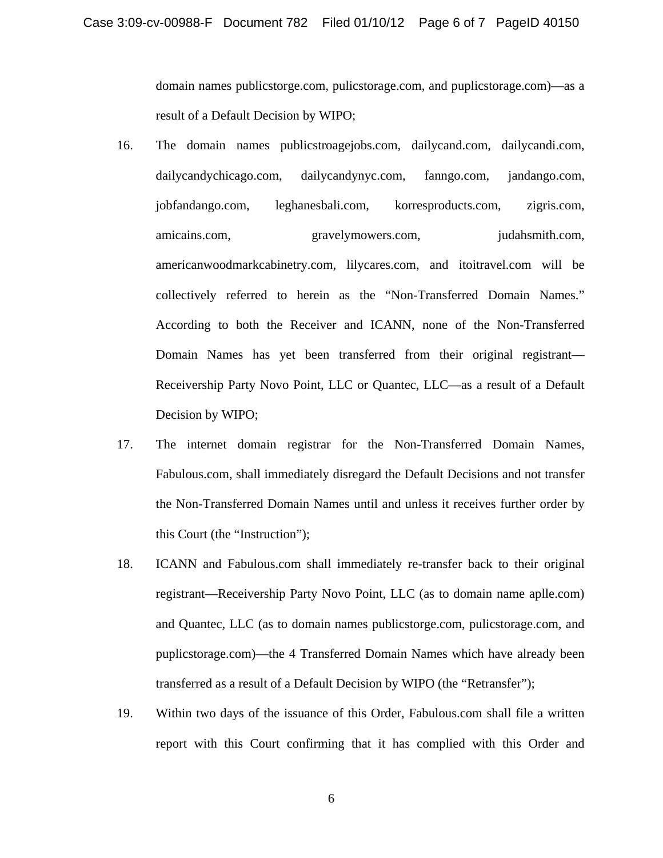domain names publicstorge.com, pulicstorage.com, and puplicstorage.com)—as a result of a Default Decision by WIPO;

- 16. The domain names publicstroagejobs.com, dailycand.com, dailycandi.com, dailycandychicago.com, dailycandynyc.com, fanngo.com, jandango.com, jobfandango.com, leghanesbali.com, korresproducts.com, zigris.com, amicains.com, gravelymowers.com, judahsmith.com, americanwoodmarkcabinetry.com, lilycares.com, and itoitravel.com will be collectively referred to herein as the "Non-Transferred Domain Names." According to both the Receiver and ICANN, none of the Non-Transferred Domain Names has yet been transferred from their original registrant— Receivership Party Novo Point, LLC or Quantec, LLC—as a result of a Default Decision by WIPO;
- 17. The internet domain registrar for the Non-Transferred Domain Names, Fabulous.com, shall immediately disregard the Default Decisions and not transfer the Non-Transferred Domain Names until and unless it receives further order by this Court (the "Instruction");
- 18. ICANN and Fabulous.com shall immediately re-transfer back to their original registrant—Receivership Party Novo Point, LLC (as to domain name aplle.com) and Quantec, LLC (as to domain names publicstorge.com, pulicstorage.com, and puplicstorage.com)—the 4 Transferred Domain Names which have already been transferred as a result of a Default Decision by WIPO (the "Retransfer");
- 19. Within two days of the issuance of this Order, Fabulous.com shall file a written report with this Court confirming that it has complied with this Order and